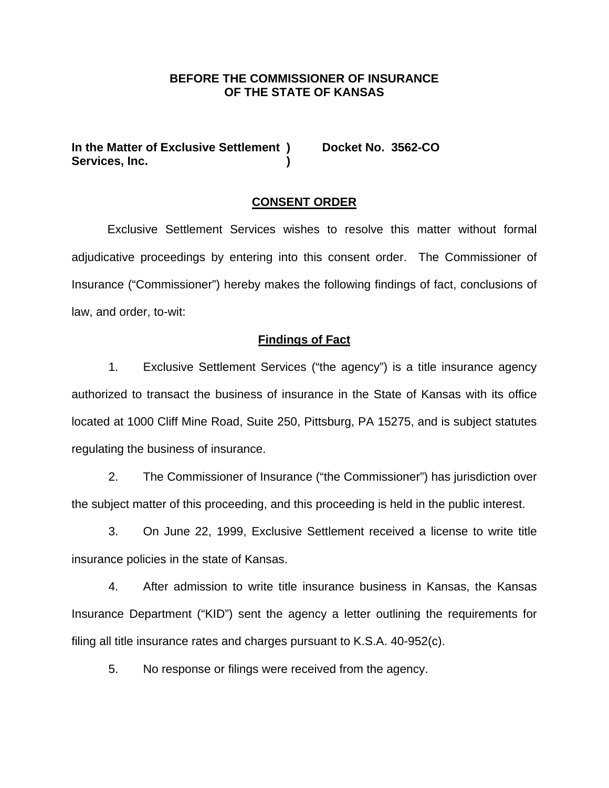## **BEFORE THE COMMISSIONER OF INSURANCE OF THE STATE OF KANSAS**

In the Matter of Exclusive Settlement ) Docket No. 3562-CO Services, Inc.

#### **CONSENT ORDER**

 Exclusive Settlement Services wishes to resolve this matter without formal adjudicative proceedings by entering into this consent order. The Commissioner of Insurance ("Commissioner") hereby makes the following findings of fact, conclusions of law, and order, to-wit:

### **Findings of Fact**

1. Exclusive Settlement Services ("the agency") is a title insurance agency authorized to transact the business of insurance in the State of Kansas with its office located at 1000 Cliff Mine Road, Suite 250, Pittsburg, PA 15275, and is subject statutes regulating the business of insurance.

2. The Commissioner of Insurance ("the Commissioner") has jurisdiction over the subject matter of this proceeding, and this proceeding is held in the public interest.

3. On June 22, 1999, Exclusive Settlement received a license to write title insurance policies in the state of Kansas.

4. After admission to write title insurance business in Kansas, the Kansas Insurance Department ("KID") sent the agency a letter outlining the requirements for filing all title insurance rates and charges pursuant to K.S.A. 40-952(c).

5. No response or filings were received from the agency.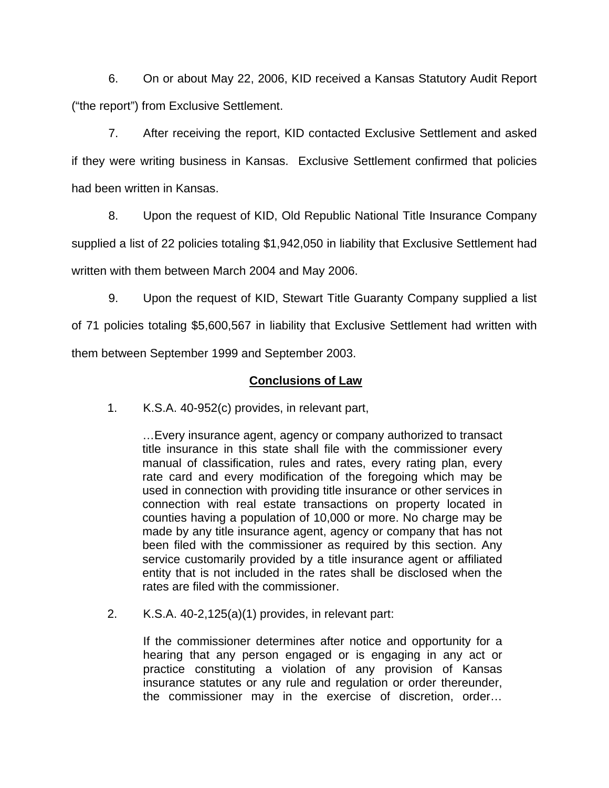6. On or about May 22, 2006, KID received a Kansas Statutory Audit Report ("the report") from Exclusive Settlement.

7. After receiving the report, KID contacted Exclusive Settlement and asked if they were writing business in Kansas. Exclusive Settlement confirmed that policies had been written in Kansas.

8. Upon the request of KID, Old Republic National Title Insurance Company supplied a list of 22 policies totaling \$1,942,050 in liability that Exclusive Settlement had

written with them between March 2004 and May 2006.

9. Upon the request of KID, Stewart Title Guaranty Company supplied a list

of 71 policies totaling \$5,600,567 in liability that Exclusive Settlement had written with them between September 1999 and September 2003.

## **Conclusions of Law**

1. K.S.A. 40-952(c) provides, in relevant part,

…Every insurance agent, agency or company authorized to transact title insurance in this state shall file with the commissioner every manual of classification, rules and rates, every rating plan, every rate card and every modification of the foregoing which may be used in connection with providing title insurance or other services in connection with real estate transactions on property located in counties having a population of 10,000 or more. No charge may be made by any title insurance agent, agency or company that has not been filed with the commissioner as required by this section. Any service customarily provided by a title insurance agent or affiliated entity that is not included in the rates shall be disclosed when the rates are filed with the commissioner.

2. K.S.A. 40-2,125(a)(1) provides, in relevant part:

If the commissioner determines after notice and opportunity for a hearing that any person engaged or is engaging in any act or practice constituting a violation of any provision of Kansas insurance statutes or any rule and regulation or order thereunder, the commissioner may in the exercise of discretion, order…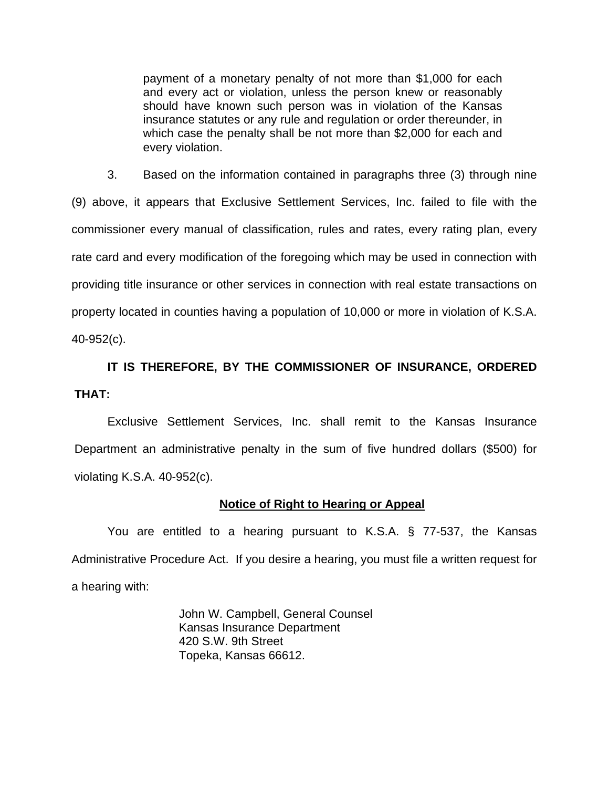payment of a monetary penalty of not more than \$1,000 for each and every act or violation, unless the person knew or reasonably should have known such person was in violation of the Kansas insurance statutes or any rule and regulation or order thereunder, in which case the penalty shall be not more than \$2,000 for each and every violation.

3. Based on the information contained in paragraphs three (3) through nine (9) above, it appears that Exclusive Settlement Services, Inc. failed to file with the commissioner every manual of classification, rules and rates, every rating plan, every rate card and every modification of the foregoing which may be used in connection with providing title insurance or other services in connection with real estate transactions on property located in counties having a population of 10,000 or more in violation of K.S.A. 40-952(c).

# **IT IS THEREFORE, BY THE COMMISSIONER OF INSURANCE, ORDERED THAT:**

Exclusive Settlement Services, Inc. shall remit to the Kansas Insurance Department an administrative penalty in the sum of five hundred dollars (\$500) for violating K.S.A. 40-952(c).

## **Notice of Right to Hearing or Appeal**

You are entitled to a hearing pursuant to K.S.A. § 77-537, the Kansas Administrative Procedure Act. If you desire a hearing, you must file a written request for a hearing with:

> John W. Campbell, General Counsel Kansas Insurance Department 420 S.W. 9th Street Topeka, Kansas 66612.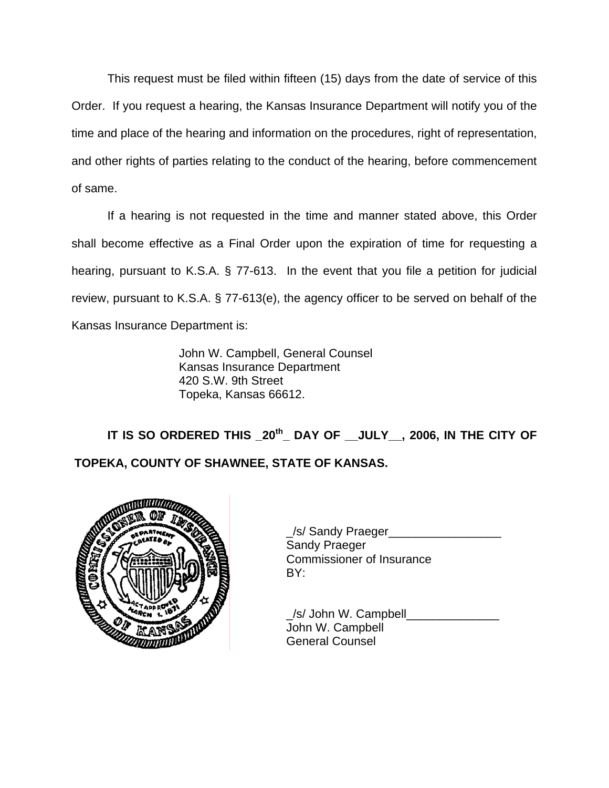This request must be filed within fifteen (15) days from the date of service of this Order. If you request a hearing, the Kansas Insurance Department will notify you of the time and place of the hearing and information on the procedures, right of representation, and other rights of parties relating to the conduct of the hearing, before commencement of same.

If a hearing is not requested in the time and manner stated above, this Order shall become effective as a Final Order upon the expiration of time for requesting a hearing, pursuant to K.S.A. § 77-613. In the event that you file a petition for judicial review, pursuant to K.S.A. § 77-613(e), the agency officer to be served on behalf of the Kansas Insurance Department is:

> John W. Campbell, General Counsel Kansas Insurance Department 420 S.W. 9th Street Topeka, Kansas 66612.

 **IT IS SO ORDERED THIS \_20th\_ DAY OF \_\_JULY\_\_, 2006, IN THE CITY OF TOPEKA, COUNTY OF SHAWNEE, STATE OF KANSAS.** 



/s/ Sandy Praeger Sandy Praeger Commissioner of Insurance

 \_/s/ John W. Campbell\_\_\_\_\_\_\_\_\_\_\_\_\_\_ John W. Campbell General Counsel